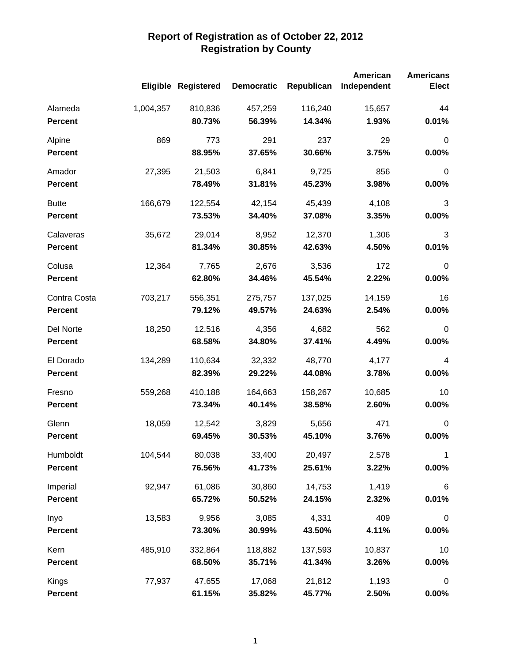|                |           |                            |                   |            | American    | <b>Americans</b> |
|----------------|-----------|----------------------------|-------------------|------------|-------------|------------------|
|                |           | <b>Eligible Registered</b> | <b>Democratic</b> | Republican | Independent | <b>Elect</b>     |
| Alameda        | 1,004,357 | 810,836                    | 457,259           | 116,240    | 15,657      | 44               |
| <b>Percent</b> |           | 80.73%                     | 56.39%            | 14.34%     | 1.93%       | 0.01%            |
| Alpine         | 869       | 773                        | 291               | 237        | 29          | $\mathbf 0$      |
| <b>Percent</b> |           | 88.95%                     | 37.65%            | 30.66%     | 3.75%       | 0.00%            |
| Amador         | 27,395    | 21,503                     | 6,841             | 9,725      | 856         | $\boldsymbol{0}$ |
| <b>Percent</b> |           | 78.49%                     | 31.81%            | 45.23%     | 3.98%       | 0.00%            |
| <b>Butte</b>   | 166,679   | 122,554                    | 42,154            | 45,439     | 4,108       | 3                |
| <b>Percent</b> |           | 73.53%                     | 34.40%            | 37.08%     | 3.35%       | 0.00%            |
| Calaveras      | 35,672    | 29,014                     | 8,952             | 12,370     | 1,306       | 3                |
| <b>Percent</b> |           | 81.34%                     | 30.85%            | 42.63%     | 4.50%       | 0.01%            |
| Colusa         | 12,364    | 7,765                      | 2,676             | 3,536      | 172         | $\boldsymbol{0}$ |
| <b>Percent</b> |           | 62.80%                     | 34.46%            | 45.54%     | 2.22%       | 0.00%            |
| Contra Costa   | 703,217   | 556,351                    | 275,757           | 137,025    | 14,159      | 16               |
| <b>Percent</b> |           | 79.12%                     | 49.57%            | 24.63%     | 2.54%       | 0.00%            |
| Del Norte      | 18,250    | 12,516                     | 4,356             | 4,682      | 562         | $\mathbf 0$      |
| <b>Percent</b> |           | 68.58%                     | 34.80%            | 37.41%     | 4.49%       | 0.00%            |
| El Dorado      | 134,289   | 110,634                    | 32,332            | 48,770     | 4,177       | $\overline{4}$   |
| <b>Percent</b> |           | 82.39%                     | 29.22%            | 44.08%     | 3.78%       | 0.00%            |
| Fresno         | 559,268   | 410,188                    | 164,663           | 158,267    | 10,685      | 10               |
| <b>Percent</b> |           | 73.34%                     | 40.14%            | 38.58%     | 2.60%       | 0.00%            |
| Glenn          | 18,059    | 12,542                     | 3,829             | 5,656      | 471         | $\mathbf 0$      |
| <b>Percent</b> |           | 69.45%                     | 30.53%            | 45.10%     | 3.76%       | 0.00%            |
| Humboldt       | 104,544   | 80,038                     | 33,400            | 20,497     | 2,578       | 1                |
| <b>Percent</b> |           | 76.56%                     | 41.73%            | 25.61%     | 3.22%       | $0.00\%$         |
| Imperial       | 92,947    | 61,086                     | 30,860            | 14,753     | 1,419       | $\,6\,$          |
| <b>Percent</b> |           | 65.72%                     | 50.52%            | 24.15%     | 2.32%       | 0.01%            |
| Inyo           | 13,583    | 9,956                      | 3,085             | 4,331      | 409         | $\boldsymbol{0}$ |
| <b>Percent</b> |           | 73.30%                     | 30.99%            | 43.50%     | 4.11%       | 0.00%            |
| Kern           | 485,910   | 332,864                    | 118,882           | 137,593    | 10,837      | 10               |
| <b>Percent</b> |           | 68.50%                     | 35.71%            | 41.34%     | 3.26%       | 0.00%            |
| Kings          | 77,937    | 47,655                     | 17,068            | 21,812     | 1,193       | $\boldsymbol{0}$ |
| <b>Percent</b> |           | 61.15%                     | 35.82%            | 45.77%     | 2.50%       | $0.00\%$         |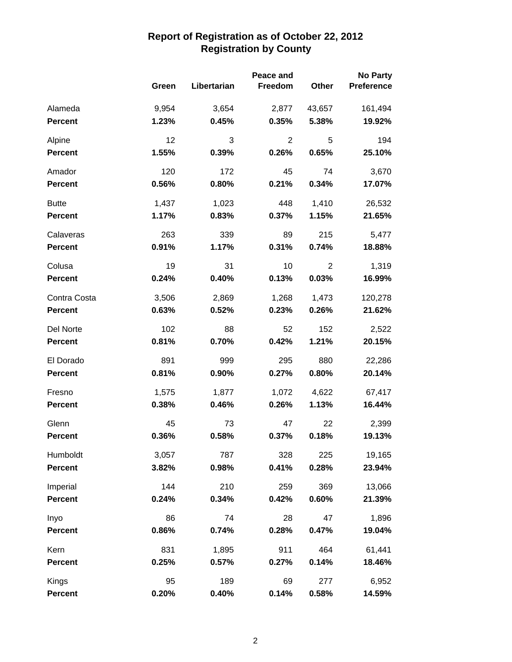|                |       | Peace and   |                |                | <b>No Party</b>   |
|----------------|-------|-------------|----------------|----------------|-------------------|
|                | Green | Libertarian | Freedom        | Other          | <b>Preference</b> |
| Alameda        | 9,954 | 3,654       | 2,877          | 43,657         | 161,494           |
| <b>Percent</b> | 1.23% | 0.45%       | 0.35%          | 5.38%          | 19.92%            |
| Alpine         | 12    | 3           | $\overline{2}$ | 5              | 194               |
| <b>Percent</b> | 1.55% | 0.39%       | 0.26%          | 0.65%          | 25.10%            |
| Amador         | 120   | 172         | 45             | 74             | 3,670             |
| <b>Percent</b> | 0.56% | 0.80%       | 0.21%          | 0.34%          | 17.07%            |
| <b>Butte</b>   | 1,437 | 1,023       | 448            | 1,410          | 26,532            |
| <b>Percent</b> | 1.17% | 0.83%       | 0.37%          | 1.15%          | 21.65%            |
| Calaveras      | 263   | 339         | 89             | 215            | 5,477             |
| <b>Percent</b> | 0.91% | 1.17%       | 0.31%          | 0.74%          | 18.88%            |
| Colusa         | 19    | 31          | 10             | $\overline{2}$ | 1,319             |
| <b>Percent</b> | 0.24% | 0.40%       | 0.13%          | 0.03%          | 16.99%            |
| Contra Costa   | 3,506 | 2,869       | 1,268          | 1,473          | 120,278           |
| <b>Percent</b> | 0.63% | 0.52%       | 0.23%          | 0.26%          | 21.62%            |
| Del Norte      | 102   | 88          | 52             | 152            | 2,522             |
| <b>Percent</b> | 0.81% | 0.70%       | 0.42%          | 1.21%          | 20.15%            |
| El Dorado      | 891   | 999         | 295            | 880            | 22,286            |
| <b>Percent</b> | 0.81% | 0.90%       | 0.27%          | 0.80%          | 20.14%            |
| Fresno         | 1,575 | 1,877       | 1,072          | 4,622          | 67,417            |
| <b>Percent</b> | 0.38% | 0.46%       | 0.26%          | 1.13%          | 16.44%            |
| Glenn          | 45    | 73          | 47             | 22             | 2,399             |
| <b>Percent</b> | 0.36% | 0.58%       | 0.37%          | 0.18%          | 19.13%            |
| Humboldt       | 3,057 | 787         | 328            | 225            | 19,165            |
| Percent        | 3.82% | 0.98%       | 0.41%          | 0.28%          | 23.94%            |
| Imperial       | 144   | 210         | 259            | 369            | 13,066            |
| <b>Percent</b> | 0.24% | 0.34%       | 0.42%          | 0.60%          | 21.39%            |
| Inyo           | 86    | 74          | 28             | 47             | 1,896             |
| <b>Percent</b> | 0.86% | 0.74%       | 0.28%          | 0.47%          | 19.04%            |
| Kern           | 831   | 1,895       | 911            | 464            | 61,441            |
| <b>Percent</b> | 0.25% | 0.57%       | 0.27%          | 0.14%          | 18.46%            |
| Kings          | 95    | 189         | 69             | 277            | 6,952             |
| <b>Percent</b> | 0.20% | 0.40%       | 0.14%          | 0.58%          | 14.59%            |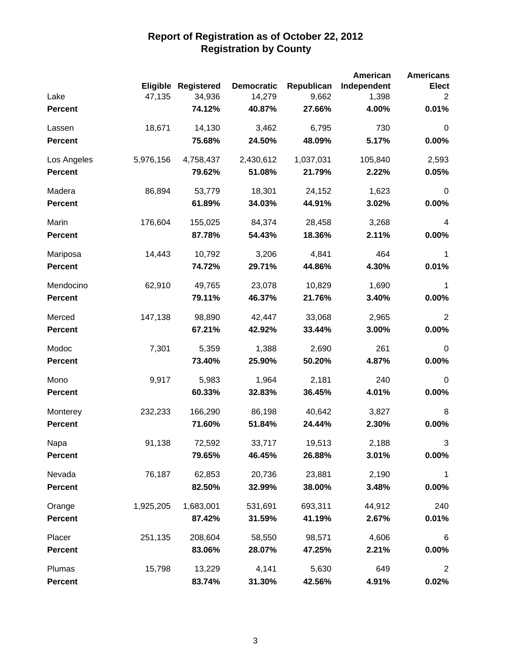|                |           |                     |                   |            | American    | <b>Americans</b> |
|----------------|-----------|---------------------|-------------------|------------|-------------|------------------|
|                |           | Eligible Registered | <b>Democratic</b> | Republican | Independent | <b>Elect</b>     |
| Lake           | 47,135    | 34,936              | 14,279            | 9,662      | 1,398       | $\overline{2}$   |
| <b>Percent</b> |           | 74.12%              | 40.87%            | 27.66%     | 4.00%       | 0.01%            |
| Lassen         | 18,671    | 14,130              | 3,462             | 6,795      | 730         | $\mathbf 0$      |
| <b>Percent</b> |           | 75.68%              | 24.50%            | 48.09%     | 5.17%       | 0.00%            |
| Los Angeles    | 5,976,156 | 4,758,437           | 2,430,612         | 1,037,031  | 105,840     | 2,593            |
| <b>Percent</b> |           | 79.62%              | 51.08%            | 21.79%     | 2.22%       | 0.05%            |
| Madera         | 86,894    | 53,779              | 18,301            | 24,152     | 1,623       | $\pmb{0}$        |
| <b>Percent</b> |           | 61.89%              | 34.03%            | 44.91%     | 3.02%       | 0.00%            |
| Marin          | 176,604   | 155,025             | 84,374            | 28,458     | 3,268       | 4                |
| <b>Percent</b> |           | 87.78%              | 54.43%            | 18.36%     | 2.11%       | 0.00%            |
| Mariposa       | 14,443    | 10,792              | 3,206             | 4,841      | 464         | 1                |
| <b>Percent</b> |           | 74.72%              | 29.71%            | 44.86%     | 4.30%       | 0.01%            |
| Mendocino      | 62,910    | 49,765              | 23,078            | 10,829     | 1,690       | 1                |
| <b>Percent</b> |           | 79.11%              | 46.37%            | 21.76%     | 3.40%       | 0.00%            |
| Merced         | 147,138   | 98,890              | 42,447            | 33,068     | 2,965       | $\overline{2}$   |
| <b>Percent</b> |           | 67.21%              | 42.92%            | 33.44%     | 3.00%       | 0.00%            |
| Modoc          | 7,301     | 5,359               | 1,388             | 2,690      | 261         | $\mathbf 0$      |
| <b>Percent</b> |           | 73.40%              | 25.90%            | 50.20%     | 4.87%       | 0.00%            |
| Mono           | 9,917     | 5,983               | 1,964             | 2,181      | 240         | $\mathbf 0$      |
| <b>Percent</b> |           | 60.33%              | 32.83%            | 36.45%     | 4.01%       | 0.00%            |
| Monterey       | 232,233   | 166,290             | 86,198            | 40,642     | 3,827       | 8                |
| <b>Percent</b> |           | 71.60%              | 51.84%            | 24.44%     | 2.30%       | 0.00%            |
| Napa           | 91,138    | 72,592              | 33,717            | 19,513     | 2,188       | 3                |
| <b>Percent</b> |           | 79.65%              | 46.45%            | 26.88%     | 3.01%       | $0.00\%$         |
| Nevada         | 76,187    | 62,853              | 20,736            | 23,881     | 2,190       | 1                |
| <b>Percent</b> |           | 82.50%              | 32.99%            | 38.00%     | 3.48%       | 0.00%            |
| Orange         | 1,925,205 | 1,683,001           | 531,691           | 693,311    | 44,912      | 240              |
| <b>Percent</b> |           | 87.42%              | 31.59%            | 41.19%     | 2.67%       | 0.01%            |
| Placer         | 251,135   | 208,604             | 58,550            | 98,571     | 4,606       | $\,6$            |
| <b>Percent</b> |           | 83.06%              | 28.07%            | 47.25%     | 2.21%       | 0.00%            |
| Plumas         | 15,798    | 13,229              | 4,141             | 5,630      | 649         | $\overline{2}$   |
| <b>Percent</b> |           | 83.74%              | 31.30%            | 42.56%     | 4.91%       | 0.02%            |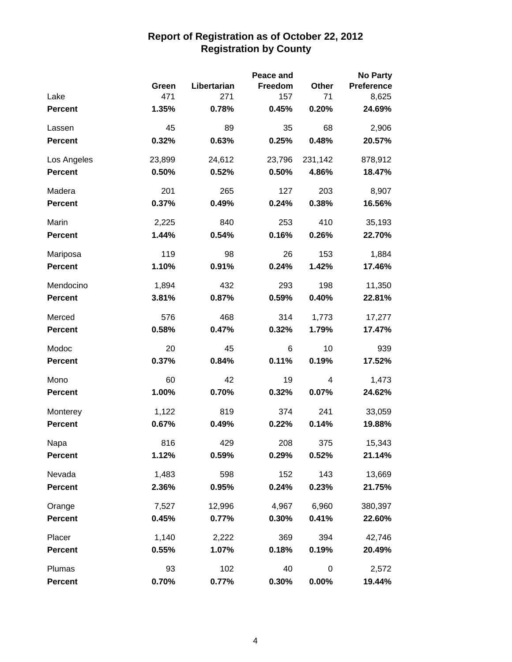|                |        |             | Peace and |          | <b>No Party</b>   |
|----------------|--------|-------------|-----------|----------|-------------------|
|                | Green  | Libertarian | Freedom   | Other    | <b>Preference</b> |
| Lake           | 471    | 271         | 157       | 71       | 8,625             |
| <b>Percent</b> | 1.35%  | 0.78%       | 0.45%     | 0.20%    | 24.69%            |
| Lassen         | 45     | 89          | 35        | 68       | 2,906             |
| <b>Percent</b> | 0.32%  | 0.63%       | 0.25%     | 0.48%    | 20.57%            |
| Los Angeles    | 23,899 | 24,612      | 23,796    | 231,142  | 878,912           |
| <b>Percent</b> | 0.50%  | 0.52%       | 0.50%     | 4.86%    | 18.47%            |
| Madera         | 201    | 265         | 127       | 203      | 8,907             |
| <b>Percent</b> | 0.37%  | 0.49%       | 0.24%     | 0.38%    | 16.56%            |
| Marin          | 2,225  | 840         | 253       | 410      | 35,193            |
| <b>Percent</b> | 1.44%  | 0.54%       | 0.16%     | 0.26%    | 22.70%            |
| Mariposa       | 119    | 98          | 26        | 153      | 1,884             |
| <b>Percent</b> | 1.10%  | 0.91%       | 0.24%     | 1.42%    | 17.46%            |
| Mendocino      | 1,894  | 432         | 293       | 198      | 11,350            |
| <b>Percent</b> | 3.81%  | 0.87%       | 0.59%     | 0.40%    | 22.81%            |
| Merced         | 576    | 468         | 314       | 1,773    | 17,277            |
| <b>Percent</b> | 0.58%  | 0.47%       | 0.32%     | 1.79%    | 17.47%            |
| Modoc          | 20     | 45          | 6         | 10       | 939               |
| <b>Percent</b> | 0.37%  | 0.84%       | 0.11%     | 0.19%    | 17.52%            |
| Mono           | 60     | 42          | 19        | 4        | 1,473             |
| Percent        | 1.00%  | 0.70%       | 0.32%     | 0.07%    | 24.62%            |
| Monterey       | 1,122  | 819         | 374       | 241      | 33,059            |
| <b>Percent</b> | 0.67%  | 0.49%       | 0.22%     | 0.14%    | 19.88%            |
| Napa           | 816    | 429         | 208       | 375      | 15,343            |
| <b>Percent</b> | 1.12%  | 0.59%       | 0.29%     | 0.52%    | 21.14%            |
| Nevada         | 1,483  | 598         | 152       | 143      | 13,669            |
| <b>Percent</b> | 2.36%  | 0.95%       | 0.24%     | 0.23%    | 21.75%            |
| Orange         | 7,527  | 12,996      | 4,967     | 6,960    | 380,397           |
| <b>Percent</b> | 0.45%  | 0.77%       | 0.30%     | 0.41%    | 22.60%            |
| Placer         | 1,140  | 2,222       | 369       | 394      | 42,746            |
| <b>Percent</b> | 0.55%  | 1.07%       | 0.18%     | 0.19%    | 20.49%            |
| Plumas         | 93     | 102         | 40        | 0        | 2,572             |
| <b>Percent</b> | 0.70%  | 0.77%       | 0.30%     | $0.00\%$ | 19.44%            |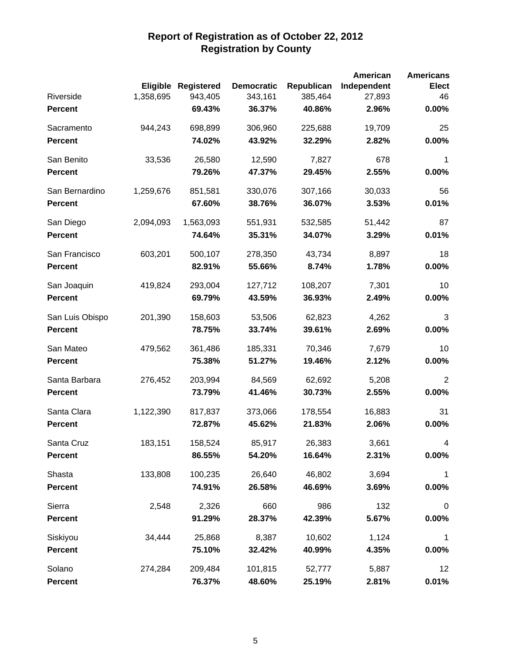|                 |           |                            |                   |            | American    | <b>Americans</b> |
|-----------------|-----------|----------------------------|-------------------|------------|-------------|------------------|
|                 |           | <b>Eligible Registered</b> | <b>Democratic</b> | Republican | Independent | <b>Elect</b>     |
| Riverside       | 1,358,695 | 943,405                    | 343,161           | 385,464    | 27,893      | 46               |
| <b>Percent</b>  |           | 69.43%                     | 36.37%            | 40.86%     | 2.96%       | 0.00%            |
| Sacramento      | 944,243   | 698,899                    | 306,960           | 225,688    | 19,709      | 25               |
| <b>Percent</b>  |           | 74.02%                     | 43.92%            | 32.29%     | 2.82%       | 0.00%            |
| San Benito      | 33,536    | 26,580                     | 12,590            | 7,827      | 678         | 1                |
| <b>Percent</b>  |           | 79.26%                     | 47.37%            | 29.45%     | 2.55%       | 0.00%            |
| San Bernardino  | 1,259,676 | 851,581                    | 330,076           | 307,166    | 30,033      | 56               |
| <b>Percent</b>  |           | 67.60%                     | 38.76%            | 36.07%     | 3.53%       | 0.01%            |
| San Diego       | 2,094,093 | 1,563,093                  | 551,931           | 532,585    | 51,442      | 87               |
| <b>Percent</b>  |           | 74.64%                     | 35.31%            | 34.07%     | 3.29%       | 0.01%            |
| San Francisco   | 603,201   | 500,107                    | 278,350           | 43,734     | 8,897       | 18               |
| <b>Percent</b>  |           | 82.91%                     | 55.66%            | 8.74%      | 1.78%       | 0.00%            |
| San Joaquin     | 419,824   | 293,004                    | 127,712           | 108,207    | 7,301       | 10               |
| <b>Percent</b>  |           | 69.79%                     | 43.59%            | 36.93%     | 2.49%       | 0.00%            |
| San Luis Obispo | 201,390   | 158,603                    | 53,506            | 62,823     | 4,262       | 3                |
| <b>Percent</b>  |           | 78.75%                     | 33.74%            | 39.61%     | 2.69%       | 0.00%            |
| San Mateo       | 479,562   | 361,486                    | 185,331           | 70,346     | 7,679       | 10               |
| <b>Percent</b>  |           | 75.38%                     | 51.27%            | 19.46%     | 2.12%       | 0.00%            |
| Santa Barbara   | 276,452   | 203,994                    | 84,569            | 62,692     | 5,208       | $\overline{2}$   |
| <b>Percent</b>  |           | 73.79%                     | 41.46%            | 30.73%     | 2.55%       | 0.00%            |
| Santa Clara     | 1,122,390 | 817,837                    | 373,066           | 178,554    | 16,883      | 31               |
| <b>Percent</b>  |           | 72.87%                     | 45.62%            | 21.83%     | 2.06%       | 0.00%            |
| Santa Cruz      | 183,151   | 158,524                    | 85,917            | 26,383     | 3,661       | 4                |
| <b>Percent</b>  |           | 86.55%                     | 54.20%            | 16.64%     | 2.31%       | 0.00%            |
| Shasta          | 133,808   | 100,235                    | 26,640            | 46,802     | 3,694       | 1                |
| <b>Percent</b>  |           | 74.91%                     | 26.58%            | 46.69%     | 3.69%       | 0.00%            |
| Sierra          | 2,548     | 2,326                      | 660               | 986        | 132         | $\mathbf 0$      |
| <b>Percent</b>  |           | 91.29%                     | 28.37%            | 42.39%     | 5.67%       | 0.00%            |
| Siskiyou        | 34,444    | 25,868                     | 8,387             | 10,602     | 1,124       | 1                |
| <b>Percent</b>  |           | 75.10%                     | 32.42%            | 40.99%     | 4.35%       | 0.00%            |
| Solano          | 274,284   | 209,484                    | 101,815           | 52,777     | 5,887       | 12               |
| <b>Percent</b>  |           | 76.37%                     | 48.60%            | 25.19%     | 2.81%       | 0.01%            |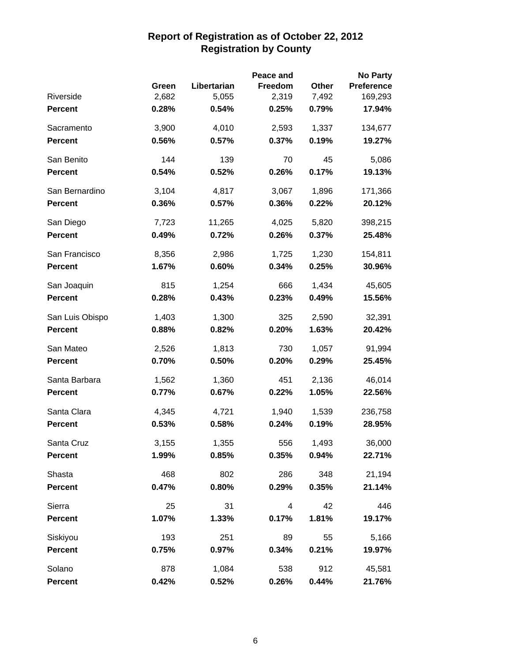|                 | <b>No Party</b><br>Peace and |             |                |       |                   |  |  |  |
|-----------------|------------------------------|-------------|----------------|-------|-------------------|--|--|--|
|                 | Green                        | Libertarian | <b>Freedom</b> | Other | <b>Preference</b> |  |  |  |
| Riverside       | 2,682                        | 5,055       | 2,319          | 7,492 | 169,293           |  |  |  |
| <b>Percent</b>  | 0.28%                        | 0.54%       | 0.25%          | 0.79% | 17.94%            |  |  |  |
| Sacramento      | 3,900                        | 4,010       | 2,593          | 1,337 | 134,677           |  |  |  |
| <b>Percent</b>  | 0.56%                        | 0.57%       | 0.37%          | 0.19% | 19.27%            |  |  |  |
| San Benito      | 144                          | 139         | 70             | 45    | 5,086             |  |  |  |
| <b>Percent</b>  | 0.54%                        | 0.52%       | 0.26%          | 0.17% | 19.13%            |  |  |  |
| San Bernardino  | 3,104                        | 4,817       | 3,067          | 1,896 | 171,366           |  |  |  |
| <b>Percent</b>  | 0.36%                        | 0.57%       | 0.36%          | 0.22% | 20.12%            |  |  |  |
| San Diego       | 7,723                        | 11,265      | 4,025          | 5,820 | 398,215           |  |  |  |
| <b>Percent</b>  | 0.49%                        | 0.72%       | 0.26%          | 0.37% | 25.48%            |  |  |  |
| San Francisco   | 8,356                        | 2,986       | 1,725          | 1,230 | 154,811           |  |  |  |
| <b>Percent</b>  | 1.67%                        | 0.60%       | 0.34%          | 0.25% | 30.96%            |  |  |  |
| San Joaquin     | 815                          | 1,254       | 666            | 1,434 | 45,605            |  |  |  |
| <b>Percent</b>  | 0.28%                        | 0.43%       | 0.23%          | 0.49% | 15.56%            |  |  |  |
| San Luis Obispo | 1,403                        | 1,300       | 325            | 2,590 | 32,391            |  |  |  |
| <b>Percent</b>  | 0.88%                        | 0.82%       | 0.20%          | 1.63% | 20.42%            |  |  |  |
| San Mateo       | 2,526                        | 1,813       | 730            | 1,057 | 91,994            |  |  |  |
| <b>Percent</b>  | 0.70%                        | 0.50%       | 0.20%          | 0.29% | 25.45%            |  |  |  |
| Santa Barbara   | 1,562                        | 1,360       | 451            | 2,136 | 46,014            |  |  |  |
| <b>Percent</b>  | 0.77%                        | 0.67%       | 0.22%          | 1.05% | 22.56%            |  |  |  |
| Santa Clara     | 4,345                        | 4,721       | 1,940          | 1,539 | 236,758           |  |  |  |
| <b>Percent</b>  | 0.53%                        | 0.58%       | 0.24%          | 0.19% | 28.95%            |  |  |  |
| Santa Cruz      | 3,155                        | 1,355       | 556            | 1,493 | 36,000            |  |  |  |
| <b>Percent</b>  | 1.99%                        | 0.85%       | 0.35%          | 0.94% | 22.71%            |  |  |  |
| Shasta          | 468                          | 802         | 286            | 348   | 21,194            |  |  |  |
| <b>Percent</b>  | 0.47%                        | 0.80%       | 0.29%          | 0.35% | 21.14%            |  |  |  |
| Sierra          | 25                           | 31          | 4              | 42    | 446               |  |  |  |
| <b>Percent</b>  | 1.07%                        | 1.33%       | 0.17%          | 1.81% | 19.17%            |  |  |  |
| Siskiyou        | 193                          | 251         | 89             | 55    | 5,166             |  |  |  |
| <b>Percent</b>  | 0.75%                        | 0.97%       | 0.34%          | 0.21% | 19.97%            |  |  |  |
| Solano          | 878                          | 1,084       | 538            | 912   | 45,581            |  |  |  |
| <b>Percent</b>  | 0.42%                        | 0.52%       | 0.26%          | 0.44% | 21.76%            |  |  |  |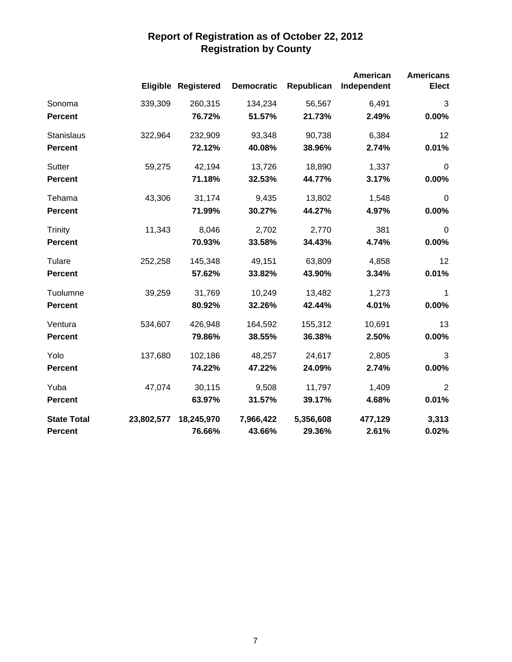|                    |            | <b>Eligible Registered</b> | <b>Democratic</b> | Republican | American<br>Independent | <b>Americans</b><br><b>Elect</b> |
|--------------------|------------|----------------------------|-------------------|------------|-------------------------|----------------------------------|
| Sonoma             | 339,309    | 260,315                    | 134,234           | 56,567     | 6,491                   | 3                                |
| <b>Percent</b>     |            | 76.72%                     | 51.57%            | 21.73%     | 2.49%                   | 0.00%                            |
| Stanislaus         | 322,964    | 232,909                    | 93,348            | 90,738     | 6,384                   | 12                               |
| <b>Percent</b>     |            | 72.12%                     | 40.08%            | 38.96%     | 2.74%                   | 0.01%                            |
| Sutter             | 59,275     | 42,194                     | 13,726            | 18,890     | 1,337                   | $\mathbf 0$                      |
| <b>Percent</b>     |            | 71.18%                     | 32.53%            | 44.77%     | 3.17%                   | 0.00%                            |
| Tehama             | 43,306     | 31,174                     | 9,435             | 13,802     | 1,548                   | $\mathbf 0$                      |
| <b>Percent</b>     |            | 71.99%                     | 30.27%            | 44.27%     | 4.97%                   | 0.00%                            |
| <b>Trinity</b>     | 11,343     | 8,046                      | 2,702             | 2,770      | 381                     | $\boldsymbol{0}$                 |
| <b>Percent</b>     |            | 70.93%                     | 33.58%            | 34.43%     | 4.74%                   | 0.00%                            |
| Tulare             | 252,258    | 145,348                    | 49,151            | 63,809     | 4,858                   | 12                               |
| <b>Percent</b>     |            | 57.62%                     | 33.82%            | 43.90%     | 3.34%                   | 0.01%                            |
| Tuolumne           | 39,259     | 31,769                     | 10,249            | 13,482     | 1,273                   | 1                                |
| <b>Percent</b>     |            | 80.92%                     | 32.26%            | 42.44%     | 4.01%                   | 0.00%                            |
| Ventura            | 534,607    | 426,948                    | 164,592           | 155,312    | 10,691                  | 13                               |
| <b>Percent</b>     |            | 79.86%                     | 38.55%            | 36.38%     | 2.50%                   | 0.00%                            |
| Yolo               | 137,680    | 102,186                    | 48,257            | 24,617     | 2,805                   | 3                                |
| <b>Percent</b>     |            | 74.22%                     | 47.22%            | 24.09%     | 2.74%                   | 0.00%                            |
| Yuba               | 47,074     | 30,115                     | 9,508             | 11,797     | 1,409                   | $\overline{2}$                   |
| <b>Percent</b>     |            | 63.97%                     | 31.57%            | 39.17%     | 4.68%                   | 0.01%                            |
| <b>State Total</b> | 23,802,577 | 18,245,970                 | 7,966,422         | 5,356,608  | 477,129                 | 3,313                            |
| <b>Percent</b>     |            | 76.66%                     | 43.66%            | 29.36%     | 2.61%                   | 0.02%                            |